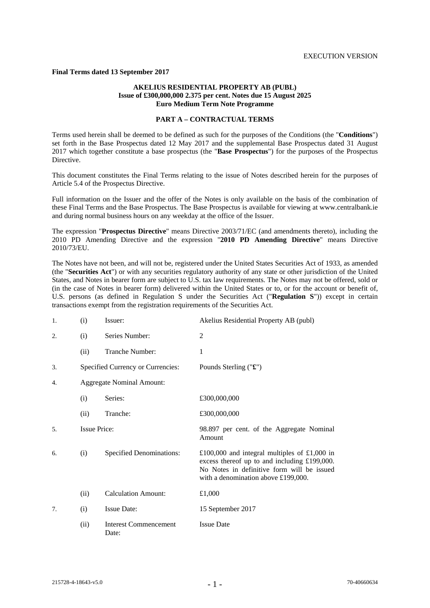#### **Final Terms dated 13 September 2017**

#### **AKELIUS RESIDENTIAL PROPERTY AB (PUBL) Issue of £300,000,000 2.375 per cent. Notes due 15 August 2025 Euro Medium Term Note Programme**

#### **PART A – CONTRACTUAL TERMS**

Terms used herein shall be deemed to be defined as such for the purposes of the Conditions (the "**Conditions**") set forth in the Base Prospectus dated 12 May 2017 and the supplemental Base Prospectus dated 31 August 2017 which together constitute a base prospectus (the "**Base Prospectus**") for the purposes of the Prospectus Directive.

This document constitutes the Final Terms relating to the issue of Notes described herein for the purposes of Article 5.4 of the Prospectus Directive.

Full information on the Issuer and the offer of the Notes is only available on the basis of the combination of these Final Terms and the Base Prospectus. The Base Prospectus is available for viewing at www.centralbank.ie and during normal business hours on any weekday at the office of the Issuer.

The expression "**Prospectus Directive**" means Directive 2003/71/EC (and amendments thereto), including the 2010 PD Amending Directive and the expression "**2010 PD Amending Directive**" means Directive 2010/73/EU.

The Notes have not been, and will not be, registered under the United States Securities Act of 1933, as amended (the "**Securities Act**") or with any securities regulatory authority of any state or other jurisdiction of the United States, and Notes in bearer form are subject to U.S. tax law requirements. The Notes may not be offered, sold or (in the case of Notes in bearer form) delivered within the United States or to, or for the account or benefit of, U.S. persons (as defined in Regulation S under the Securities Act ("**Regulation S**")) except in certain transactions exempt from the registration requirements of the Securities Act.

| 1. | (i)                 | Issuer:                               | Akelius Residential Property AB (publ)                                                                                                                                            |
|----|---------------------|---------------------------------------|-----------------------------------------------------------------------------------------------------------------------------------------------------------------------------------|
| 2. | (i)                 | Series Number:                        | 2                                                                                                                                                                                 |
|    | (ii)                | Tranche Number:                       | 1                                                                                                                                                                                 |
| 3. |                     | Specified Currency or Currencies:     | Pounds Sterling $("E")$                                                                                                                                                           |
| 4. |                     | <b>Aggregate Nominal Amount:</b>      |                                                                                                                                                                                   |
|    | (i)                 | Series:                               | £300,000,000                                                                                                                                                                      |
|    | (ii)                | Tranche:                              | £300,000,000                                                                                                                                                                      |
| 5. | <b>Issue Price:</b> |                                       | 98.897 per cent. of the Aggregate Nominal<br>Amount                                                                                                                               |
| 6. | (i)                 | <b>Specified Denominations:</b>       | £100,000 and integral multiples of £1,000 in<br>excess thereof up to and including £199,000.<br>No Notes in definitive form will be issued<br>with a denomination above £199,000. |
|    | (ii)                | <b>Calculation Amount:</b>            | £1,000                                                                                                                                                                            |
| 7. | (i)                 | <b>Issue Date:</b>                    | 15 September 2017                                                                                                                                                                 |
|    | (ii)                | <b>Interest Commencement</b><br>Date: | <b>Issue Date</b>                                                                                                                                                                 |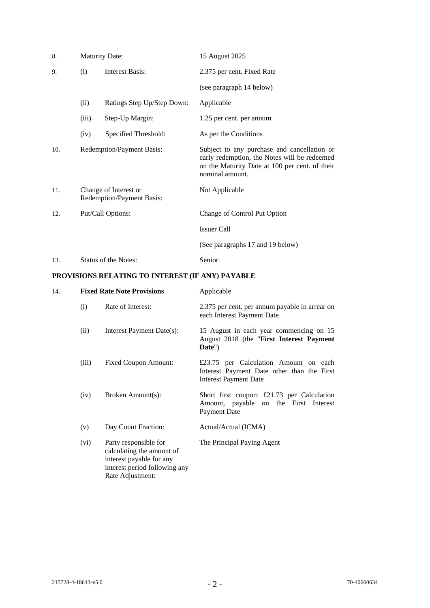| 8.  | <b>Maturity Date:</b>                              |                            | 15 August 2025                                                                                                                                                   |
|-----|----------------------------------------------------|----------------------------|------------------------------------------------------------------------------------------------------------------------------------------------------------------|
| 9.  | <b>Interest Basis:</b><br>(i)                      |                            | 2.375 per cent. Fixed Rate                                                                                                                                       |
|     |                                                    |                            | (see paragraph 14 below)                                                                                                                                         |
|     | (ii)                                               | Ratings Step Up/Step Down: | Applicable                                                                                                                                                       |
|     | (iii)                                              | Step-Up Margin:            | 1.25 per cent. per annum                                                                                                                                         |
|     | (iv)                                               | Specified Threshold:       | As per the Conditions                                                                                                                                            |
| 10. | Redemption/Payment Basis:                          |                            | Subject to any purchase and cancellation or<br>early redemption, the Notes will be redeemed<br>on the Maturity Date at 100 per cent. of their<br>nominal amount. |
| 11. | Change of Interest or<br>Redemption/Payment Basis: |                            | Not Applicable                                                                                                                                                   |
| 12. | Put/Call Options:                                  |                            | Change of Control Put Option                                                                                                                                     |
|     |                                                    |                            | <b>Issuer Call</b>                                                                                                                                               |
|     |                                                    |                            | (See paragraphs 17 and 19 below)                                                                                                                                 |

# 13. Status of the Notes: Senior

## **PROVISIONS RELATING TO INTEREST (IF ANY) PAYABLE**

| 14. |       | <b>Fixed Rate Note Provisions</b>                                                                                                   | Applicable                                                                                                          |
|-----|-------|-------------------------------------------------------------------------------------------------------------------------------------|---------------------------------------------------------------------------------------------------------------------|
|     | (i)   | Rate of Interest:                                                                                                                   | 2.375 per cent. per annum payable in arrear on<br>each Interest Payment Date                                        |
|     | (ii)  | Interest Payment Date(s):                                                                                                           | 15 August in each year commencing on 15<br>August 2018 (the "First Interest Payment<br>Date")                       |
|     | (iii) | <b>Fixed Coupon Amount:</b>                                                                                                         | £23.75 per Calculation Amount on each<br>Interest Payment Date other than the First<br><b>Interest Payment Date</b> |
|     | (iv)  | Broken Amount(s):                                                                                                                   | Short first coupon: $£21.73$ per Calculation<br>Amount, payable on the First Interest<br>Payment Date               |
|     | (v)   | Day Count Fraction:                                                                                                                 | Actual/Actual (ICMA)                                                                                                |
|     | (vi)  | Party responsible for<br>calculating the amount of<br>interest payable for any<br>interest period following any<br>Rate Adjustment: | The Principal Paying Agent                                                                                          |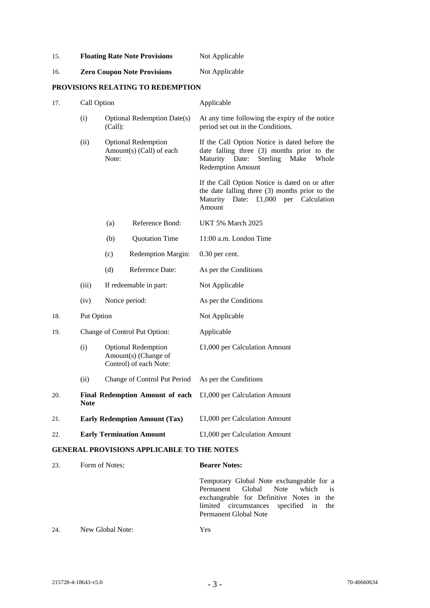| 15. | <b>Floating Rate Note Provisions</b> | Not Applicable |
|-----|--------------------------------------|----------------|
|     |                                      |                |

## 16. **Zero Coupon Note Provisions** Not Applicable

## **PROVISIONS RELATING TO REDEMPTION**

| 17. | Call Option |                                                                              | Applicable                                                                                                                                                             |
|-----|-------------|------------------------------------------------------------------------------|------------------------------------------------------------------------------------------------------------------------------------------------------------------------|
|     | (i)         | <b>Optional Redemption Date(s)</b><br>(Call):                                | At any time following the expiry of the notice<br>period set out in the Conditions.                                                                                    |
|     | (ii)        | <b>Optional Redemption</b><br>Amount(s) (Call) of each<br>Note:              | If the Call Option Notice is dated before the<br>date falling three (3) months prior to the<br>Maturity Date:<br>Sterling<br>Make<br>Whole<br><b>Redemption Amount</b> |
|     |             |                                                                              | If the Call Option Notice is dated on or after<br>the date falling three (3) months prior to the<br>£1,000 per Calculation<br>Maturity Date:<br>Amount                 |
|     |             | Reference Bond:<br>(a)                                                       | <b>UKT 5% March 2025</b>                                                                                                                                               |
|     |             | <b>Quotation Time</b><br>(b)                                                 | 11:00 a.m. London Time                                                                                                                                                 |
|     |             | (c)<br><b>Redemption Margin:</b>                                             | $0.30$ per cent.                                                                                                                                                       |
|     |             | Reference Date:<br>(d)                                                       | As per the Conditions                                                                                                                                                  |
|     | (iii)       | If redeemable in part:                                                       | Not Applicable                                                                                                                                                         |
|     | (iv)        | Notice period:                                                               | As per the Conditions                                                                                                                                                  |
| 18. | Put Option  |                                                                              | Not Applicable                                                                                                                                                         |
| 19. |             | Change of Control Put Option:                                                | Applicable                                                                                                                                                             |
|     | (i)         | <b>Optional Redemption</b><br>Amount(s) (Change of<br>Control) of each Note: | £1,000 per Calculation Amount                                                                                                                                          |
|     | (ii)        | Change of Control Put Period                                                 | As per the Conditions                                                                                                                                                  |
| 20. | Note        | <b>Final Redemption Amount of each</b>                                       | £1,000 per Calculation Amount                                                                                                                                          |
| 21. |             | <b>Early Redemption Amount (Tax)</b>                                         | £1,000 per Calculation Amount                                                                                                                                          |
| 22. |             | <b>Early Termination Amount</b>                                              | £1,000 per Calculation Amount                                                                                                                                          |
|     |             | <b>GENERAL PROVISIONS APPLICABLE TO THE NOTES</b>                            |                                                                                                                                                                        |
| 23. |             | Form of Notes:                                                               | <b>Bearer Notes:</b>                                                                                                                                                   |
|     |             |                                                                              | Temporary Global Note exchangeable for a                                                                                                                               |

Permanent Global Note which is exchangeable for Definitive Notes in the limited circumstances specified in the Permanent Global Note

24. New Global Note: Yes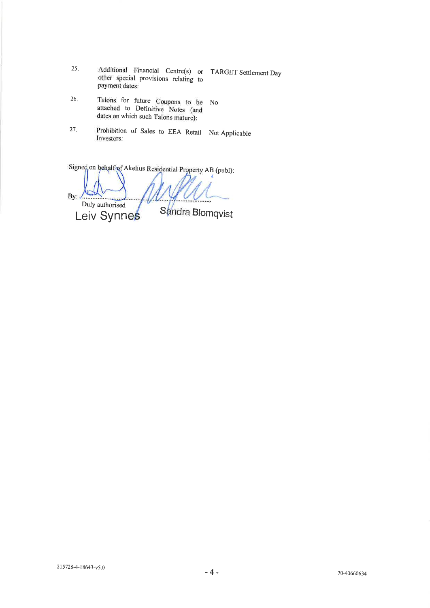- 25. Additional Financial Centre(s) or TARGET Settlement Day other special provisions relating to payment dates:
- Talons for future Coupons to be No 26. attached to Definitive Notes (and dates on which such Talons mature):
- Prohibition of Sales to EEA Retail Not Applicable 27. Investors:

Signed on behalf of Akelius Residential Property AB (publ): By:  $\sqrt{2\pi}$ Duly authorised Sandra Blomqvist Leiv Synnes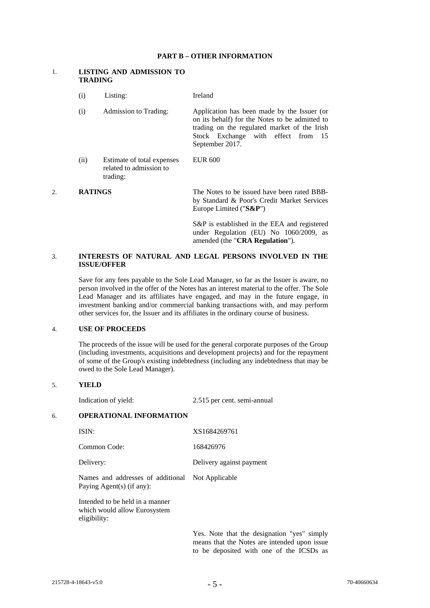#### **PART B – OTHER INFORMATION**

#### 1. **LISTING AND ADMISSION TO TRADING**

|    | (i)            | Listing:                                                          | Ireland                                                                                                                                                                                                    |
|----|----------------|-------------------------------------------------------------------|------------------------------------------------------------------------------------------------------------------------------------------------------------------------------------------------------------|
|    | (i)            | Admission to Trading:                                             | Application has been made by the Issuer (or<br>on its behalf) for the Notes to be admitted to<br>trading on the regulated market of the Irish<br>Stock Exchange with effect from<br>-15<br>September 2017. |
|    | (ii)           | Estimate of total expenses<br>related to admission to<br>trading: | <b>EUR 600</b>                                                                                                                                                                                             |
| 2. | <b>RATINGS</b> |                                                                   | The Notes to be issued have been rated BBB-<br>by Standard & Poor's Credit Market Services                                                                                                                 |

S&P is established in the EEA and registered under Regulation (EU) No 1060/2009, as amended (the "**CRA Regulation**").

Europe Limited ("**S&P**")

#### 3. **INTERESTS OF NATURAL AND LEGAL PERSONS INVOLVED IN THE ISSUE/OFFER**

 Save for any fees payable to the Sole Lead Manager, so far as the Issuer is aware, no person involved in the offer of the Notes has an interest material to the offer. The Sole Lead Manager and its affiliates have engaged, and may in the future engage, in investment banking and/or commercial banking transactions with, and may perform other services for, the Issuer and its affiliates in the ordinary course of business.

#### 4. **USE OF PROCEEDS**

The proceeds of the issue will be used for the general corporate purposes of the Group (including investments, acquisitions and development projects) and for the repayment of some of the Group's existing indebtedness (including any indebtedness that may be owed to the Sole Lead Manager).

#### 5. **YIELD**

Indication of yield: 2.515 per cent. semi-annual

## 6. **OPERATIONAL INFORMATION**

| ISIN:                                                                         | XS1684269761             |
|-------------------------------------------------------------------------------|--------------------------|
| Common Code:                                                                  | 168426976                |
| Delivery:                                                                     | Delivery against payment |
| Names and addresses of additional Not Applicable<br>Paying Agent(s) (if any): |                          |

 Intended to be held in a manner which would allow Eurosystem eligibility:

> Yes. Note that the designation "yes" simply means that the Notes are intended upon issue to be deposited with one of the ICSDs as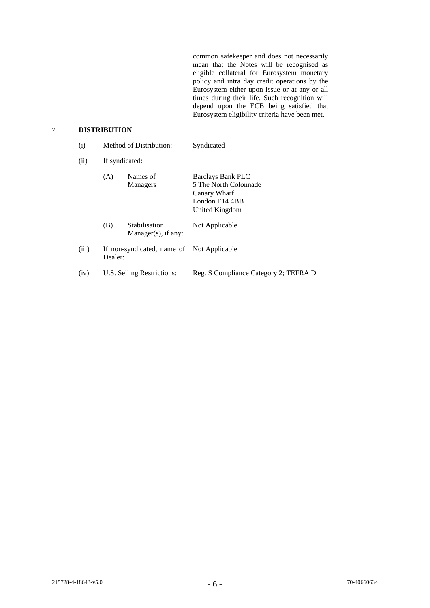common safekeeper and does not necessarily mean that the Notes will be recognised as eligible collateral for Eurosystem monetary policy and intra day credit operations by the Eurosystem either upon issue or at any or all times during their life. Such recognition will depend upon the ECB being satisfied that Eurosystem eligibility criteria have been met.

## 7. **DISTRIBUTION**

| (i)   | Method of Distribution:    |                                           | Syndicated                                                                                     |
|-------|----------------------------|-------------------------------------------|------------------------------------------------------------------------------------------------|
| (ii)  | If syndicated:             |                                           |                                                                                                |
|       | (A)                        | Names of<br><b>Managers</b>               | Barclays Bank PLC<br>5 The North Colonnade<br>Canary Wharf<br>London E14 4BB<br>United Kingdom |
|       | (B)                        | Stabilisation<br>$Manager(s)$ , if any:   | Not Applicable                                                                                 |
| (iii) | Dealer:                    | If non-syndicated, name of Not Applicable |                                                                                                |
| (iv)  | U.S. Selling Restrictions: |                                           | Reg. S Compliance Category 2; TEFRA D                                                          |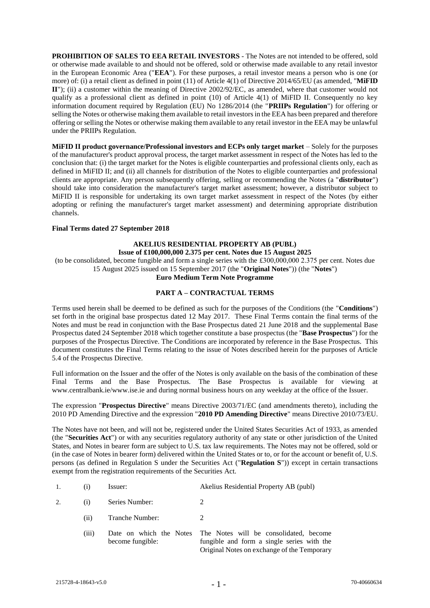**PROHIBITION OF SALES TO EEA RETAIL INVESTORS** - The Notes are not intended to be offered, sold or otherwise made available to and should not be offered, sold or otherwise made available to any retail investor in the European Economic Area ("**EEA**"). For these purposes, a retail investor means a person who is one (or more) of: (i) a retail client as defined in point (11) of Article 4(1) of Directive 2014/65/EU (as amended, "**MiFID II**"); (ii) a customer within the meaning of Directive 2002/92/EC, as amended, where that customer would not qualify as a professional client as defined in point (10) of Article 4(1) of MiFID II. Consequently no key information document required by Regulation (EU) No 1286/2014 (the "**PRIIPs Regulation**") for offering or selling the Notes or otherwise making them available to retail investors in the EEA has been prepared and therefore offering or selling the Notes or otherwise making them available to any retail investor in the EEA may be unlawful under the PRIIPs Regulation.

**MiFID II product governance/Professional investors and ECPs only target market** – Solely for the purposes of the manufacturer's product approval process, the target market assessment in respect of the Notes has led to the conclusion that: (i) the target market for the Notes is eligible counterparties and professional clients only, each as defined in MiFID II; and (ii) all channels for distribution of the Notes to eligible counterparties and professional clients are appropriate. Any person subsequently offering, selling or recommending the Notes (a "**distributor**") should take into consideration the manufacturer's target market assessment; however, a distributor subject to MiFID II is responsible for undertaking its own target market assessment in respect of the Notes (by either adopting or refining the manufacturer's target market assessment) and determining appropriate distribution channels.

#### **Final Terms dated 27 September 2018**

#### **AKELIUS RESIDENTIAL PROPERTY AB (PUBL) Issue of £100,000,000 2.375 per cent. Notes due 15 August 2025**

(to be consolidated, become fungible and form a single series with the £300,000,000 2.375 per cent. Notes due 15 August 2025 issued on 15 September 2017 (the "**Original Notes**")) (the "**Notes**")

#### **Euro Medium Term Note Programme**

#### **PART A – CONTRACTUAL TERMS**

Terms used herein shall be deemed to be defined as such for the purposes of the Conditions (the "**Conditions**") set forth in the original base prospectus dated 12 May 2017. These Final Terms contain the final terms of the Notes and must be read in conjunction with the Base Prospectus dated 21 June 2018 and the supplemental Base Prospectus dated 24 September 2018 which together constitute a base prospectus (the "**Base Prospectus**") for the purposes of the Prospectus Directive. The Conditions are incorporated by reference in the Base Prospectus. This document constitutes the Final Terms relating to the issue of Notes described herein for the purposes of Article 5.4 of the Prospectus Directive.

Full information on the Issuer and the offer of the Notes is only available on the basis of the combination of these Final Terms and the Base Prospectus. The Base Prospectus is available for viewing at www.centralbank.ie/www.ise.ie and during normal business hours on any weekday at the office of the Issuer.

The expression "**Prospectus Directive**" means Directive 2003/71/EC (and amendments thereto), including the 2010 PD Amending Directive and the expression "**2010 PD Amending Directive**" means Directive 2010/73/EU.

The Notes have not been, and will not be, registered under the United States Securities Act of 1933, as amended (the "**Securities Act**") or with any securities regulatory authority of any state or other jurisdiction of the United States, and Notes in bearer form are subject to U.S. tax law requirements. The Notes may not be offered, sold or (in the case of Notes in bearer form) delivered within the United States or to, or for the account or benefit of, U.S. persons (as defined in Regulation S under the Securities Act ("**Regulation S**")) except in certain transactions exempt from the registration requirements of the Securities Act.

| Issuer: |  | Akelius Residential Property AB (publ) |  |  |
|---------|--|----------------------------------------|--|--|
|---------|--|----------------------------------------|--|--|

2. (i) Series Number: 2

- (ii) Tranche Number:  $\mathcal{D}$
- (iii) Date on which the Notes The Notes will be consolidated, become become fungible: fungible and form a single series with the Original Notes on exchange of the Temporary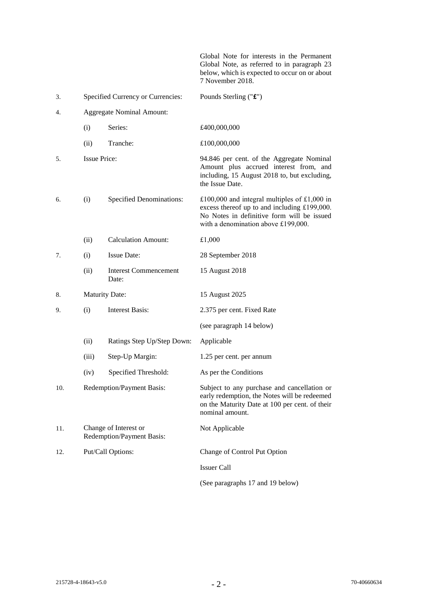Global Note for interests in the Permanent Global Note, as referred to in paragraph 23 below, which is expected to occur on or about 7 November 2018.

| 3.  |                                                    | Specified Currency or Currencies:     | Pounds Sterling ("£")                                                                                                                                                             |
|-----|----------------------------------------------------|---------------------------------------|-----------------------------------------------------------------------------------------------------------------------------------------------------------------------------------|
| 4.  |                                                    | <b>Aggregate Nominal Amount:</b>      |                                                                                                                                                                                   |
|     | (i)                                                | Series:                               | £400,000,000                                                                                                                                                                      |
|     | (ii)                                               | Tranche:                              | £100,000,000                                                                                                                                                                      |
| 5.  | <b>Issue Price:</b>                                |                                       | 94.846 per cent. of the Aggregate Nominal<br>Amount plus accrued interest from, and<br>including, 15 August 2018 to, but excluding,<br>the Issue Date.                            |
| 6.  | (i)                                                | <b>Specified Denominations:</b>       | £100,000 and integral multiples of £1,000 in<br>excess thereof up to and including £199,000.<br>No Notes in definitive form will be issued<br>with a denomination above £199,000. |
|     | (ii)                                               | <b>Calculation Amount:</b>            | £1,000                                                                                                                                                                            |
| 7.  | (i)                                                | <b>Issue Date:</b>                    | 28 September 2018                                                                                                                                                                 |
|     | (ii)                                               | <b>Interest Commencement</b><br>Date: | 15 August 2018                                                                                                                                                                    |
| 8.  | <b>Maturity Date:</b>                              |                                       | 15 August 2025                                                                                                                                                                    |
| 9.  | <b>Interest Basis:</b><br>(i)                      |                                       | 2.375 per cent. Fixed Rate                                                                                                                                                        |
|     |                                                    |                                       | (see paragraph 14 below)                                                                                                                                                          |
|     | (ii)                                               | Ratings Step Up/Step Down:            | Applicable                                                                                                                                                                        |
|     | (iii)                                              | Step-Up Margin:                       | 1.25 per cent. per annum                                                                                                                                                          |
|     | (iv)                                               | Specified Threshold:                  | As per the Conditions                                                                                                                                                             |
| 10. | Redemption/Payment Basis:                          |                                       | Subject to any purchase and cancellation or<br>early redemption, the Notes will be redeemed<br>on the Maturity Date at 100 per cent. of their<br>nominal amount.                  |
| 11. | Change of Interest or<br>Redemption/Payment Basis: |                                       | Not Applicable                                                                                                                                                                    |
| 12. |                                                    | Put/Call Options:                     | Change of Control Put Option                                                                                                                                                      |
|     |                                                    |                                       | <b>Issuer Call</b>                                                                                                                                                                |
|     |                                                    |                                       | (See paragraphs 17 and 19 below)                                                                                                                                                  |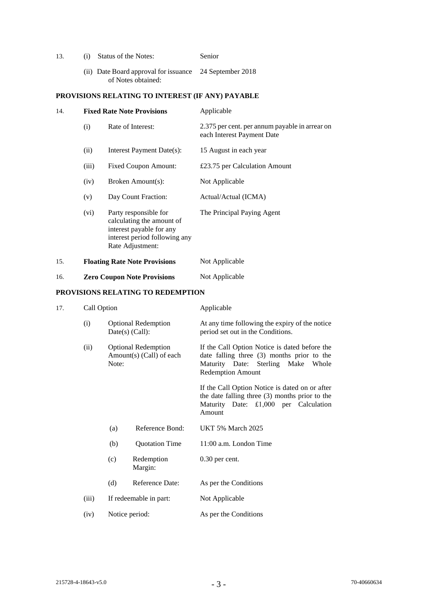| 13. |  | (i) Status of the Notes: | Senior |
|-----|--|--------------------------|--------|
|-----|--|--------------------------|--------|

(ii) Date Board approval for issuance 24 September 2018 of Notes obtained:

## **PROVISIONS RELATING TO INTEREST (IF ANY) PAYABLE**

| 14. |                                    | <b>Fixed Rate Note Provisions</b>                                                                                                   | Applicable                                                                   |  |
|-----|------------------------------------|-------------------------------------------------------------------------------------------------------------------------------------|------------------------------------------------------------------------------|--|
|     | (i)                                | Rate of Interest:                                                                                                                   | 2.375 per cent. per annum payable in arrear on<br>each Interest Payment Date |  |
|     | (ii)                               | Interest Payment Date(s):                                                                                                           | 15 August in each year                                                       |  |
|     | (iii)                              | <b>Fixed Coupon Amount:</b>                                                                                                         | £23.75 per Calculation Amount                                                |  |
|     | (iv)                               | Broken Amount(s):                                                                                                                   | Not Applicable                                                               |  |
|     | (v)                                | Day Count Fraction:                                                                                                                 | Actual/Actual (ICMA)                                                         |  |
|     | (vi)                               | Party responsible for<br>calculating the amount of<br>interest payable for any<br>interest period following any<br>Rate Adjustment: | The Principal Paying Agent                                                   |  |
| 15. |                                    | <b>Floating Rate Note Provisions</b>                                                                                                | Not Applicable                                                               |  |
| 16. | <b>Zero Coupon Note Provisions</b> |                                                                                                                                     | Not Applicable                                                               |  |

#### **PROVISIONS RELATING TO REDEMPTION**

## 17. Call Option Applicable

| $\epsilon$ un $\epsilon$ puon |                                                                 |                       | $\mu$                                                                                                                                                            |  |
|-------------------------------|-----------------------------------------------------------------|-----------------------|------------------------------------------------------------------------------------------------------------------------------------------------------------------|--|
| (i)                           | <b>Optional Redemption</b><br>$Date(s)$ (Call):                 |                       | At any time following the expiry of the notice<br>period set out in the Conditions.                                                                              |  |
| (ii)                          | <b>Optional Redemption</b><br>Amount(s) (Call) of each<br>Note: |                       | If the Call Option Notice is dated before the<br>date falling three (3) months prior to the<br>Maturity Date: Sterling Make<br>Whole<br><b>Redemption Amount</b> |  |
|                               |                                                                 |                       | If the Call Option Notice is dated on or after<br>the date falling three $(3)$ months prior to the<br>Maturity Date: £1,000 per Calculation<br>Amount            |  |
|                               | (a)                                                             | Reference Bond:       | <b>UKT 5% March 2025</b>                                                                                                                                         |  |
|                               | <b>Quotation Time</b><br>(b)                                    |                       | 11:00 a.m. London Time                                                                                                                                           |  |
|                               | (c)                                                             | Redemption<br>Margin: | $0.30$ per cent.                                                                                                                                                 |  |
|                               | (d)                                                             | Reference Date:       | As per the Conditions                                                                                                                                            |  |
| (iii)                         | If redeemable in part:                                          |                       | Not Applicable                                                                                                                                                   |  |

(iv) Notice period: As per the Conditions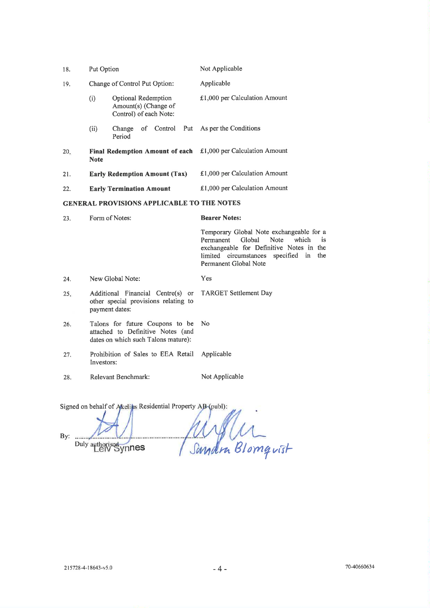| 18.                                               | Put Option                                            |                                                                              | Not Applicable                  |  |
|---------------------------------------------------|-------------------------------------------------------|------------------------------------------------------------------------------|---------------------------------|--|
| 19.                                               | Change of Control Put Option:                         |                                                                              | Applicable                      |  |
|                                                   | (i)                                                   | <b>Optional Redemption</b><br>Amount(s) (Change of<br>Control) of each Note: | $£1,000$ per Calculation Amount |  |
|                                                   | (ii)                                                  | of Control Put<br>Change<br>Period                                           | As per the Conditions           |  |
| 20.                                               | <b>Final Redemption Amount of each</b><br><b>Note</b> |                                                                              | £1,000 per Calculation Amount   |  |
| 21.                                               |                                                       | <b>Early Redemption Amount (Tax)</b>                                         | £1,000 per Calculation Amount   |  |
| 22.                                               | <b>Early Termination Amount</b>                       |                                                                              | £1,000 per Calculation Amount   |  |
| <b>GENERAL PROVISIONS APPLICABLE TO THE NOTES</b> |                                                       |                                                                              |                                 |  |

| 23. | Form of Notes:                                                                                                    | <b>Bearer Notes:</b>                                                                                                                                                                         |  |  |
|-----|-------------------------------------------------------------------------------------------------------------------|----------------------------------------------------------------------------------------------------------------------------------------------------------------------------------------------|--|--|
|     |                                                                                                                   | Temporary Global Note exchangeable for a<br>is<br>Permanent Global Note which<br>exchangeable for Definitive Notes in the<br>limited circumstances specified in the<br>Permanent Global Note |  |  |
| 24. | New Global Note:                                                                                                  | Yes                                                                                                                                                                                          |  |  |
| 25. | Additional Financial Centre(s) or TARGET Settlement Day<br>other special provisions relating to<br>payment dates: |                                                                                                                                                                                              |  |  |
| 26. | Talons for future Coupons to be<br>attached to Definitive Notes (and<br>dates on which such Talons mature):       | N <sub>o</sub>                                                                                                                                                                               |  |  |
| 27. | Prohibition of Sales to EEA Retail Applicable<br>Investors:                                                       |                                                                                                                                                                                              |  |  |
| 28. | Relevant Benchmark:                                                                                               | Not Applicable                                                                                                                                                                               |  |  |

Signed on behalf of Akeliks Residential Property AB (publ):

By: ........ Duly authorised ynnes

Willen . . . . . . . . . . . . . . . . . .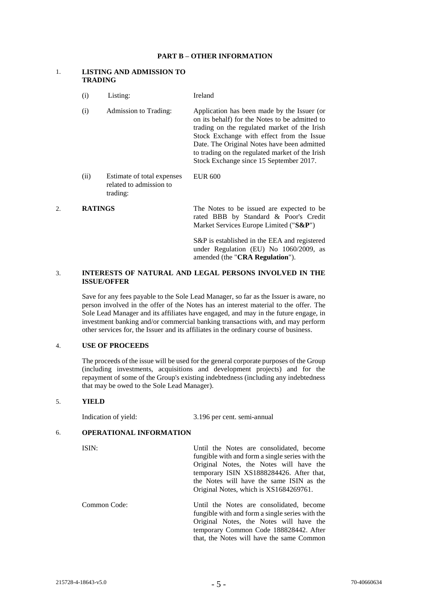#### **PART B – OTHER INFORMATION**

#### 1. **LISTING AND ADMISSION TO TRADING**

trading:

(i) Listing: Ireland (i) Admission to Trading: Application has been made by the Issuer (or on its behalf) for the Notes to be admitted to trading on the regulated market of the Irish Stock Exchange with effect from the Issue Date. The Original Notes have been admitted to trading on the regulated market of the Irish Stock Exchange since 15 September 2017. (ii) Estimate of total expenses related to admission to EUR 600

#### 2. **RATINGS** The Notes to be issued are expected to be rated BBB by Standard & Poor's Credit Market Services Europe Limited ("**S&P**")

S&P is established in the EEA and registered under Regulation (EU) No 1060/2009, as amended (the "**CRA Regulation**").

#### 3. **INTERESTS OF NATURAL AND LEGAL PERSONS INVOLVED IN THE ISSUE/OFFER**

Save for any fees payable to the Sole Lead Manager, so far as the Issuer is aware, no person involved in the offer of the Notes has an interest material to the offer. The Sole Lead Manager and its affiliates have engaged, and may in the future engage, in investment banking and/or commercial banking transactions with, and may perform other services for, the Issuer and its affiliates in the ordinary course of business.

### 4. **USE OF PROCEEDS**

The proceeds of the issue will be used for the general corporate purposes of the Group (including investments, acquisitions and development projects) and for the repayment of some of the Group's existing indebtedness (including any indebtedness that may be owed to the Sole Lead Manager).

#### 5. **YIELD**

Indication of yield: 3.196 per cent. semi-annual

#### 6. **OPERATIONAL INFORMATION**

ISIN: Until the Notes are consolidated, become fungible with and form a single series with the Original Notes, the Notes will have the temporary ISIN XS1888284426. After that, the Notes will have the same ISIN as the Original Notes, which is XS1684269761.

Common Code: Until the Notes are consolidated, become fungible with and form a single series with the Original Notes, the Notes will have the temporary Common Code 188828442. After that, the Notes will have the same Common